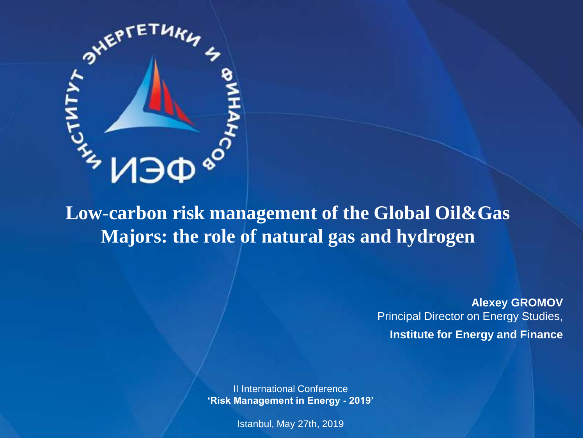

**Low-carbon risk management of the Global Oil&Gas Majors: the role of natural gas and hydrogen**

> **Alexey GROMOV** Principal Director on Energy Studies, **Institute for Energy and Finance**

II International Conference **'Risk Management in Energy - 2019'**

Istanbul, May 27th, 2019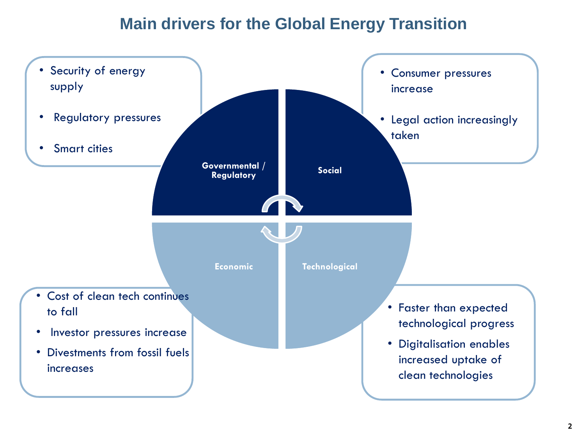### **Main drivers for the Global Energy Transition**

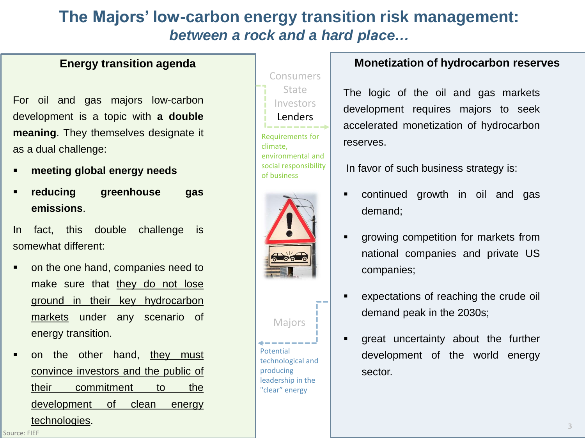### **The Majors' low-carbon energy transition risk management:**  *between a rock and a hard place…*

For oil and gas majors low-carbon development is a topic with **a double meaning**. They themselves designate it as a dual challenge:

- **meeting global energy needs**
- **reducing greenhouse gas emissions**.

In fact, this double challenge is somewhat different:

- on the one hand, companies need to make sure that they do not lose ground in their key hydrocarbon markets under any scenario of energy transition.
- on the other hand, they must convince investors and the public of their commitment to the development of clean energy technologies.





#### **Energy transition agenda Monetization of hydrocarbon reserves**

The logic of the oil and gas markets development requires majors to seek accelerated monetization of hydrocarbon reserves.

In favor of such business strategy is:

- continued growth in oil and gas demand;
- growing competition for markets from national companies and private US companies;
- expectations of reaching the crude oil demand peak in the 2030s;
- great uncertainty about the further development of the world energy sector.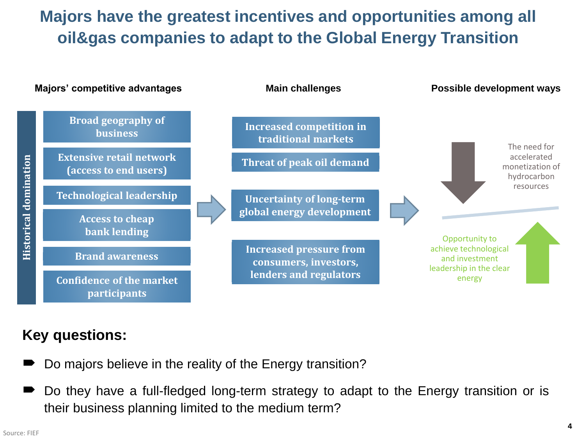# **Majors have the greatest incentives and opportunities among all oil&gas companies to adapt to the Global Energy Transition**



#### **Key questions:**

- Do majors believe in the reality of the Energy transition?
- Do they have a full-fledged long-term strategy to adapt to the Energy transition or is their business planning limited to the medium term?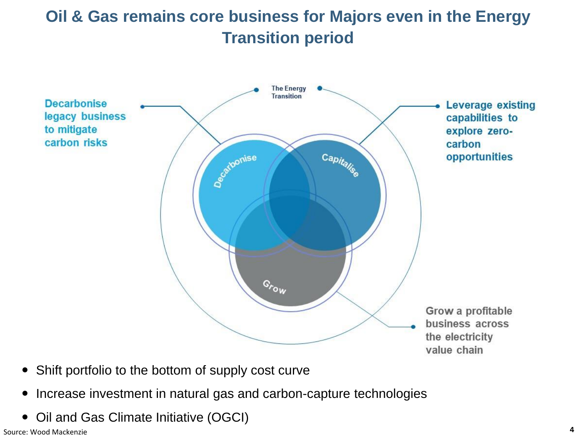# **Oil & Gas remains core business for Majors even in the Energy Transition period**



- Shift portfolio to the bottom of supply cost curve
- Increase investment in natural gas and carbon-capture technologies
- Oil and Gas Climate Initiative (OGCI)

Source: Wood Mackenzie **4**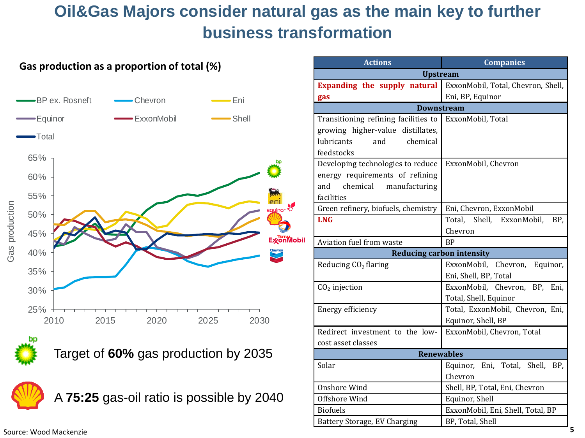# **Oil&Gas Majors consider natural gas as the main key to further business transformation**





A **75:25** gas-oil ratio is possible by 2040

| <b>Actions</b>                                                                                                           | <b>Companies</b>                                       |  |  |  |  |
|--------------------------------------------------------------------------------------------------------------------------|--------------------------------------------------------|--|--|--|--|
| <b>Upstream</b>                                                                                                          |                                                        |  |  |  |  |
| Expanding the supply natural                                                                                             | ExxonMobil, Total, Chevron, Shell,                     |  |  |  |  |
| gas                                                                                                                      | Eni, BP, Equinor                                       |  |  |  |  |
| <b>Downstream</b>                                                                                                        |                                                        |  |  |  |  |
| Transitioning refining facilities to<br>growing higher-value distillates,<br>lubricants<br>and<br>chemical<br>feedstocks | ExxonMobil, Total                                      |  |  |  |  |
| Developing technologies to reduce<br>energy requirements of refining<br>chemical<br>and<br>manufacturing<br>facilities   | ExxonMobil, Chevron                                    |  |  |  |  |
| Green refinery, biofuels, chemistry                                                                                      | Eni, Chevron, ExxonMobil                               |  |  |  |  |
| <b>LNG</b>                                                                                                               | Total,<br>Shell, ExxonMobil,<br>BP,<br>Chevron         |  |  |  |  |
| Aviation fuel from waste                                                                                                 | <b>BP</b>                                              |  |  |  |  |
| <b>Reducing carbon intensity</b>                                                                                         |                                                        |  |  |  |  |
| Reducing CO <sub>2</sub> flaring                                                                                         | ExxonMobil, Chevron, Equinor,<br>Eni, Shell, BP, Total |  |  |  |  |
| $CO2$ injection                                                                                                          | ExxonMobil, Chevron, BP, Eni,<br>Total, Shell, Equinor |  |  |  |  |
| Energy efficiency                                                                                                        | Total, ExxonMobil, Chevron, Eni,<br>Equinor, Shell, BP |  |  |  |  |
| Redirect investment to the low-                                                                                          | ExxonMobil, Chevron, Total                             |  |  |  |  |
| cost asset classes                                                                                                       |                                                        |  |  |  |  |
| <b>Renewables</b>                                                                                                        |                                                        |  |  |  |  |
| Solar                                                                                                                    | Equinor, Eni, Total, Shell, BP,<br>Chevron             |  |  |  |  |
| Onshore Wind                                                                                                             | Shell, BP, Total, Eni, Chevron                         |  |  |  |  |
| Offshore Wind                                                                                                            | Equinor, Shell                                         |  |  |  |  |
| <b>Biofuels</b>                                                                                                          | ExxonMobil, Eni, Shell, Total, BP                      |  |  |  |  |
| Battery Storage, EV Charging                                                                                             | BP, Total, Shell                                       |  |  |  |  |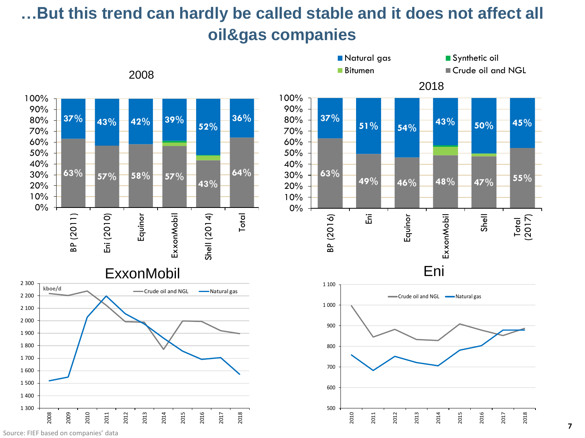# **…But this trend can hardly be called stable and it does not affect all oil&gas companies**



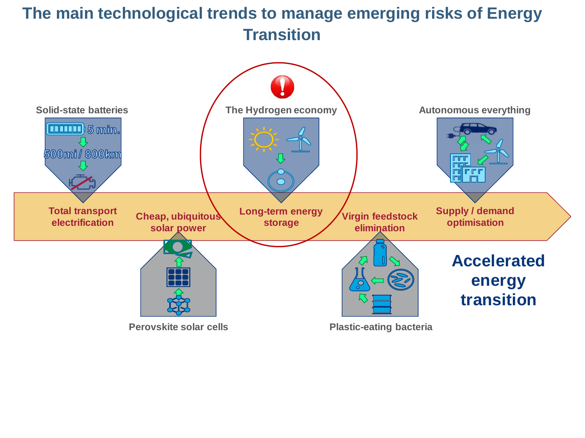## **The main technological trends to manage emerging risks of Energy Transition**

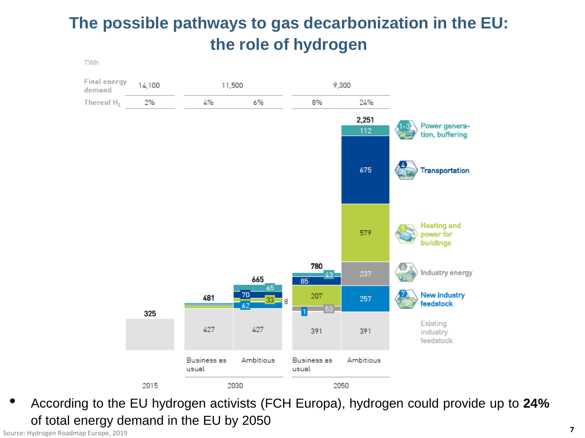# **The possible pathways to gas decarbonization in the EU: the role of hydrogen**

**TWh** 



• According to the EU hydrogen activists (FCH Europa), hydrogen could provide up to **24%** of total energy demand in the EU by 2050

Source: Hydrogen Roadmap Europe, 2019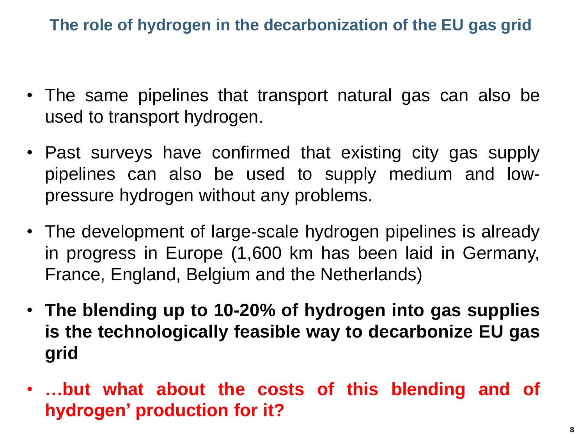**The role of hydrogen in the decarbonization of the EU gas grid** 

- The same pipelines that transport natural gas can also be used to transport hydrogen.
- Past surveys have confirmed that existing city gas supply pipelines can also be used to supply medium and lowpressure hydrogen without any problems.
- The development of large-scale hydrogen pipelines is already in progress in Europe (1,600 km has been laid in Germany, France, England, Belgium and the Netherlands)
- **The blending up to 10-20% of hydrogen into gas supplies is the technologically feasible way to decarbonize EU gas grid**
- **…but what about the costs of this blending and of hydrogen' production for it?**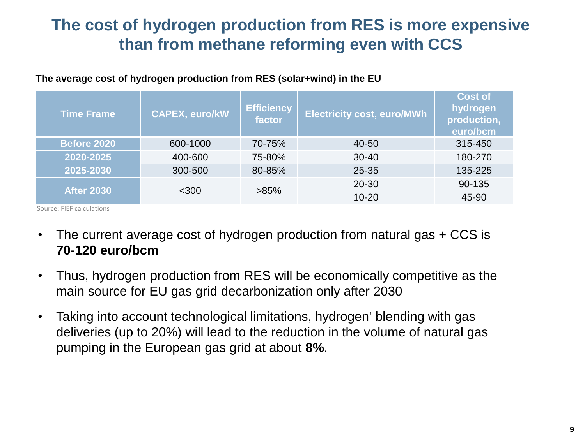### **The cost of hydrogen production from RES is more expensive than from methane reforming even with CCS**

| <b>Time Frame</b>            | <b>CAPEX, euro/kW</b> | <b>Efficiency</b><br>factor | <b>Electricity cost, euro/MWh</b> | <b>Cost of</b><br>hydrogen<br>production,<br>euro/bcm |
|------------------------------|-----------------------|-----------------------------|-----------------------------------|-------------------------------------------------------|
| <b>Before 2020</b>           | 600-1000              | 70-75%                      | 40-50                             | 315-450                                               |
| 2020-2025                    | 400-600               | 75-80%                      | $30 - 40$                         | 180-270                                               |
| 2025-2030                    | 300-500               | 80-85%                      | 25-35                             | 135-225                                               |
| <b>After 2030</b><br>$<$ 300 | $>85\%$               | 20-30                       | 90-135                            |                                                       |
|                              |                       | $10 - 20$                   | 45-90                             |                                                       |

#### **The average cost of hydrogen production from RES (solar+wind) in the EU**

Source: FIEF calculations

- The current average cost of hydrogen production from natural gas + CCS is **70-120 euro/bcm**
- Thus, hydrogen production from RES will be economically competitive as the main source for EU gas grid decarbonization only after 2030
- Taking into account technological limitations, hydrogen' blending with gas deliveries (up to 20%) will lead to the reduction in the volume of natural gas pumping in the European gas grid at about **8%**.